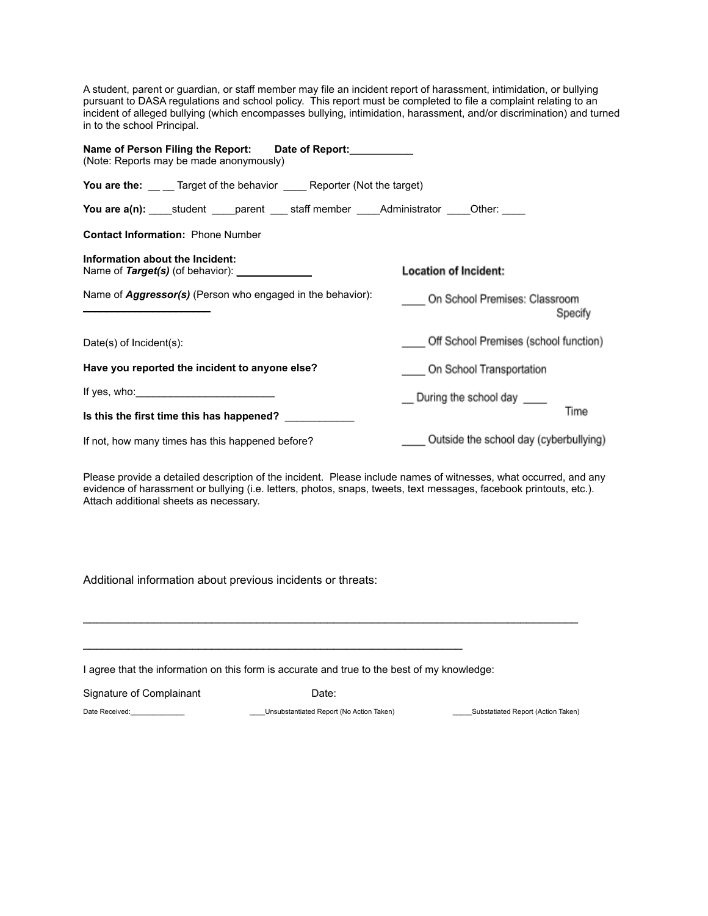A student, parent or guardian, or staff member may file an incident report of harassment, intimidation, or bullying pursuant to DASA regulations and school policy. This report must be completed to file a complaint relating to an incident of alleged bullying (which encompasses bullying, intimidation, harassment, and/or discrimination) and turned in to the school Principal.

| Name of Person Filing the Report: Date of Report:<br>(Note: Reports may be made anonymously) |                                          |  |
|----------------------------------------------------------------------------------------------|------------------------------------------|--|
| You are the: __ _ Target of the behavior _______ Reporter (Not the target)                   |                                          |  |
|                                                                                              |                                          |  |
| <b>Contact Information: Phone Number</b>                                                     |                                          |  |
| Information about the Incident:<br>Name of Target(s) (of behavior): _______________          | <b>Location of Incident:</b>             |  |
| Name of <b>Aggressor(s)</b> (Person who engaged in the behavior):                            | On School Premises: Classroom<br>Specify |  |
| Date(s) of $Incident(s)$ :                                                                   | Off School Premises (school function)    |  |
| Have you reported the incident to anyone else?                                               | On School Transportation                 |  |
| If yes, who: $\sqrt{ }$                                                                      | __ During the school day ____            |  |
| Is this the first time this has happened?                                                    | Time                                     |  |
| If not, how many times has this happened before?                                             | Outside the school day (cyberbullying)   |  |

Please provide a detailed description of the incident. Please include names of witnesses, what occurred, and any evidence of harassment or bullying (i.e. letters, photos, snaps, tweets, text messages, facebook printouts, etc.). Attach additional sheets as necessary.

Additional information about previous incidents or threats:

I agree that the information on this form is accurate and true to the best of my knowledge:

 $\mathcal{L}_\text{max}$  , and the contract of the contract of the contract of the contract of the contract of the contract of the contract of the contract of the contract of the contract of the contract of the contract of the contr

Signature of Complainant **Date:** Date:

 $\_$  ,  $\_$  ,  $\_$  ,  $\_$  ,  $\_$  ,  $\_$  ,  $\_$  ,  $\_$  ,  $\_$  ,  $\_$  ,  $\_$  ,  $\_$  ,  $\_$  ,  $\_$  ,  $\_$  ,  $\_$  ,  $\_$  ,  $\_$  ,  $\_$  ,  $\_$ 

Date Received:\_\_\_\_\_\_\_\_\_\_\_\_\_\_ \_\_\_\_Unsubstantiated Report (No Action Taken) \_\_\_\_\_Substatiated Report (Action Taken)